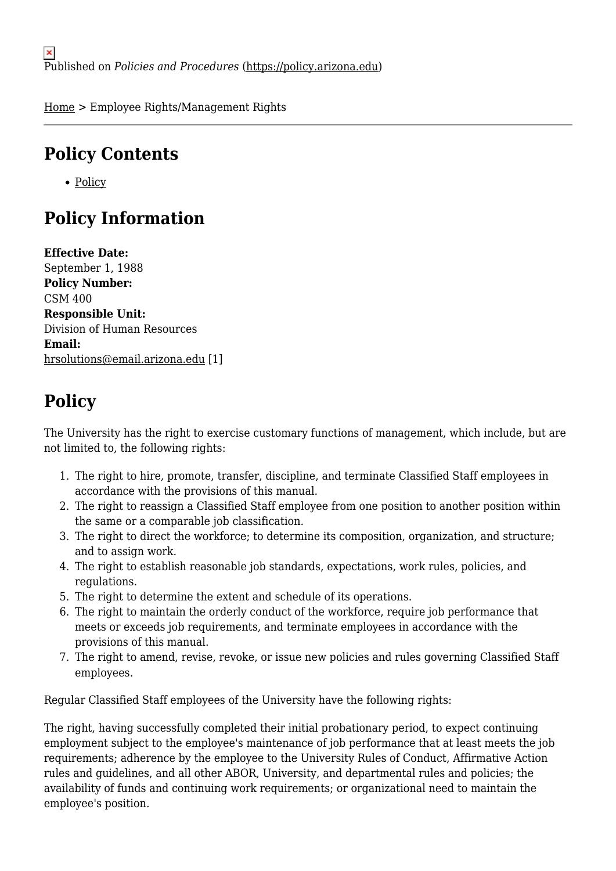[Home](https://policy.arizona.edu/) > Employee Rights/Management Rights

## **Policy Contents**

• [Policy](#page-0-0)

# **Policy Information**

**Effective Date:**  September 1, 1988 **Policy Number:**  CSM 400 **Responsible Unit:**  Division of Human Resources **Email:**  [hrsolutions@email.arizona.edu](mailto:hrsolutions@email.arizona.edu) [1]

### <span id="page-0-0"></span>**Policy**

The University has the right to exercise customary functions of management, which include, but are not limited to, the following rights:

- 1. The right to hire, promote, transfer, discipline, and terminate Classified Staff employees in accordance with the provisions of this manual.
- 2. The right to reassign a Classified Staff employee from one position to another position within the same or a comparable job classification.
- 3. The right to direct the workforce; to determine its composition, organization, and structure; and to assign work.
- 4. The right to establish reasonable job standards, expectations, work rules, policies, and regulations.
- 5. The right to determine the extent and schedule of its operations.
- 6. The right to maintain the orderly conduct of the workforce, require job performance that meets or exceeds job requirements, and terminate employees in accordance with the provisions of this manual.
- 7. The right to amend, revise, revoke, or issue new policies and rules governing Classified Staff employees.

Regular Classified Staff employees of the University have the following rights:

The right, having successfully completed their initial probationary period, to expect continuing employment subject to the employee's maintenance of job performance that at least meets the job requirements; adherence by the employee to the University Rules of Conduct, Affirmative Action rules and guidelines, and all other ABOR, University, and departmental rules and policies; the availability of funds and continuing work requirements; or organizational need to maintain the employee's position.